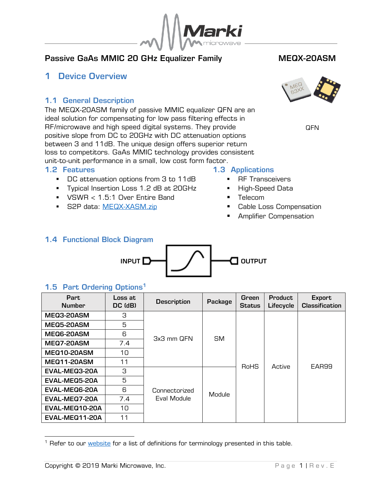

# Passive GaAs MMIC 20 GHz Equalizer Family MEQX-20ASM

# <span id="page-0-0"></span>1 Device Overview

# <span id="page-0-1"></span>1.1 General Description

The MEQX-20ASM family of passive MMIC equalizer QFN are an ideal solution for compensating for low pass filtering effects in RF/microwave and high speed digital systems. They provide positive slope from DC to 20GHz with DC attenuation options between 3 and 11dB. The unique design offers superior return loss to competitors. GaAs MMIC technology provides consistent unit-to-unit performance in a small, low cost form factor.

### <span id="page-0-2"></span>1.2 Features

- DC attenuation options from 3 to 11dB
- **•** Typical Insertion Loss 1.2 dB at 20GHz
- VSWR < 1.5:1 Over Entire Band
- **S2P data: [MEQX-XASM.zip](file://///mmw-vfile1/Assets/data/MEQX-XASM.zip)**

**QFN** 

# <span id="page-0-3"></span>1.3 Applications

- **RF Transceivers**
- **·** High-Speed Data
- Telecom
- Cable Loss Compensation
- **Amplifier Compensation**

# <span id="page-0-4"></span>1.4 Functional Block Diagram



# <span id="page-0-5"></span>1.5 Part Ordering Options<sup>1</sup>

| Part<br><b>Number</b> | Loss at<br>DC (dB) | <b>Description</b>           | Package   | Green<br><b>Status</b> | <b>Product</b><br>Lifecycle | <b>Export</b><br><b>Classification</b> |
|-----------------------|--------------------|------------------------------|-----------|------------------------|-----------------------------|----------------------------------------|
| MEQ3-20ASM            | З                  |                              | <b>SM</b> | RoHS                   | Active                      | EAR99                                  |
| MEQ5-20ASM            | 5                  |                              |           |                        |                             |                                        |
| MEQ6-20ASM            | 6                  | 3x3 mm QFN                   |           |                        |                             |                                        |
| MEQ7-20ASM            | 7.4                |                              |           |                        |                             |                                        |
| <b>MEQ10-20ASM</b>    | 10                 |                              |           |                        |                             |                                        |
| <b>MEQ11-20ASM</b>    | 11                 |                              |           |                        |                             |                                        |
| EVAL-MEQ3-20A         | 3                  |                              | Module    |                        |                             |                                        |
| EVAL-MEQ5-20A         | 5                  |                              |           |                        |                             |                                        |
| EVAL-MEQ6-20A         | 6                  | Connectorized<br>Eval Module |           |                        |                             |                                        |
| EVAL-MEQ7-20A         | 7.4                |                              |           |                        |                             |                                        |
| EVAL-MEQ10-20A        | 10                 |                              |           |                        |                             |                                        |
| EVAL-MEQ11-20A        | 11                 |                              |           |                        |                             |                                        |

<sup>&</sup>lt;sup>1</sup> Refer to our *website* for a list of definitions for terminology presented in this table.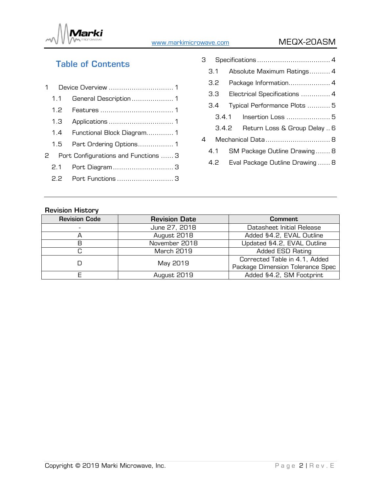

# [www.markimicrowave.com](http://www.markimicrowae.com/) MEQX-20ASM

# Table of Contents

| 1.1 |                                        |  |
|-----|----------------------------------------|--|
|     |                                        |  |
|     |                                        |  |
|     | 1.4 Functional Block Diagram 1         |  |
|     | 1.5 Part Ordering Options 1            |  |
|     | 2 Port Configurations and Functions  3 |  |
|     | 2.1 Port Diagram  3                    |  |
|     | 2.2 Port Functions  3                  |  |

|                                        | з                                   |                                       |  |  |
|----------------------------------------|-------------------------------------|---------------------------------------|--|--|
|                                        | $\overline{3}$ 1                    | Absolute Maximum Ratings 4            |  |  |
|                                        | 3.2                                 | Package Information 4                 |  |  |
|                                        | 3.3<br>Electrical Specifications  4 |                                       |  |  |
|                                        | 3.4                                 | Typical Performance Plots  5          |  |  |
|                                        |                                     | 3.4.1                                 |  |  |
|                                        |                                     | 3.4.2<br>Return Loss & Group Delay  6 |  |  |
| 4                                      |                                     |                                       |  |  |
|                                        | 4.1                                 | SM Package Outline Drawing 8          |  |  |
| Eval Package Outline Drawing  8<br>4.2 |                                     |                                       |  |  |
|                                        |                                     |                                       |  |  |

# Revision History

| <b>Revision Code</b> | <b>Revision Date</b> | <b>Comment</b>                   |
|----------------------|----------------------|----------------------------------|
|                      | June 27, 2018        | Datasheet Initial Release        |
|                      | August 2018          | Added §4.2, EVAL Outline         |
| R                    | November 2018        | Updated §4.2, EVAL Outline       |
|                      | <b>March 2019</b>    | Added ESD Rating                 |
|                      |                      | Corrected Table in 4.1, Added    |
|                      | May 2019             | Package Dimension Tolerance Spec |
|                      | August 2019          | Added §4.2, SM Footprint         |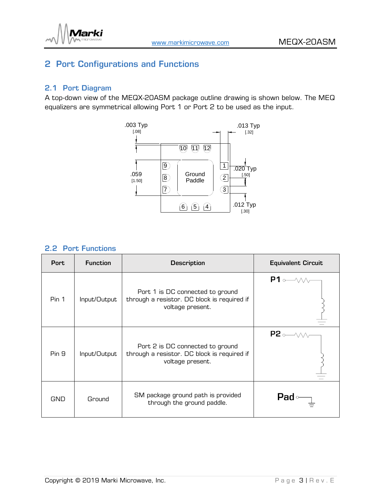

# <span id="page-2-0"></span>2 Port Configurations and Functions

# <span id="page-2-1"></span>2.1 Port Diagram

A top-down view of the MEQX-20ASM package outline drawing is shown below. The MEQ equalizers are symmetrical allowing Port 1 or Port 2 to be used as the input.



## <span id="page-2-2"></span>2.2 Port Functions

| Port       | <b>Function</b> | <b>Description</b>                                                                                  | <b>Equivalent Circuit</b>                |
|------------|-----------------|-----------------------------------------------------------------------------------------------------|------------------------------------------|
| Pin 1      | Input/Output    | Port 1 is DC connected to ground<br>through a resistor. DC block is required if<br>voltage present. | $P1 \circ \longrightarrow \wedge \wedge$ |
| Pin 9      | Input/Output    | Port 2 is DC connected to ground<br>through a resistor. DC block is required if<br>voltage present. | $P2 \rightarrow \sim$                    |
| <b>GND</b> | Ground          | SM package ground path is provided<br>through the ground paddle.                                    | <b>Pad</b>                               |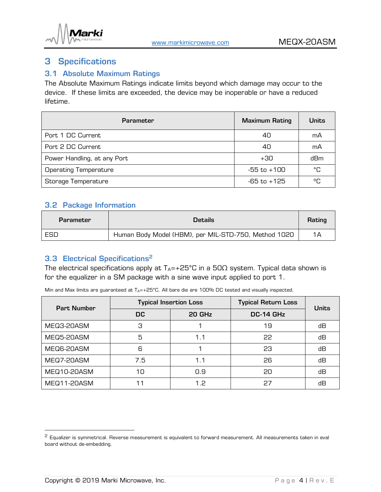

# <span id="page-3-0"></span>3 Specifications

## <span id="page-3-1"></span>3.1 Absolute Maximum Ratings

The Absolute Maximum Ratings indicate limits beyond which damage may occur to the device. If these limits are exceeded, the device may be inoperable or have a reduced lifetime.

| <b>Parameter</b>             | <b>Maximum Rating</b> | <b>Units</b> |
|------------------------------|-----------------------|--------------|
| Port 1 DC Current            | 40                    | mA           |
| Port 2 DC Current            | 40                    | mA           |
| Power Handling, at any Port  | $+30$                 | dBm          |
| <b>Operating Temperature</b> | $-55$ to $+100$       | °C           |
| Storage Temperature          | -65 to +125           | °C           |

## <span id="page-3-2"></span>3.2 Package Information

| Parameter | <b>Details</b>                                       |    |
|-----------|------------------------------------------------------|----|
| ESD       | Human Body Model (HBM), per MIL-STD-750, Method 1020 | 1Α |

# <span id="page-3-3"></span>3.3 Electrical Specifications 2

The electrical specifications apply at  $T_A$ =+25°C in a 50 $\Omega$  system. Typical data shown is for the equalizer in a SM package with a sine wave input applied to port 1.

Min and Max limits are guaranteed at  $T_A$ =+25°C. All bare die are 100% DC tested and visually inspected.

| <b>Part Number</b> | <b>Typical Insertion Loss</b> |        | <b>Typical Return Loss</b> | <b>Units</b> |  |
|--------------------|-------------------------------|--------|----------------------------|--------------|--|
|                    | DC.                           | 20 GHz | DC-14 GHz                  |              |  |
| MEQ3-20ASM         | З                             |        | 19                         | dВ           |  |
| MEQ5-20ASM         | 5                             | 1.1    | 22                         | dВ           |  |
| MEQ6-20ASM         | 6                             |        | 23                         | dВ           |  |
| MEQ7-20ASM         | 7.5                           | 1.1    | 26                         | dВ           |  |
| MEQ10-20ASM        | 10                            | 0.9    | 20                         | dВ           |  |
| MEQ11-20ASM        | 11                            | 1.2    | 27                         | dВ           |  |

<sup>&</sup>lt;sup>2</sup> Equalizer is symmetrical. Reverse measurement is equivalent to forward measurement. All measurements taken in eval board without de-embedding.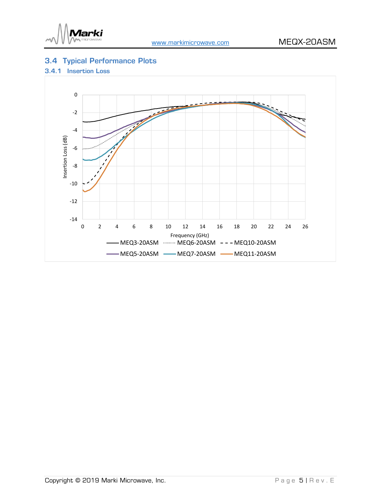

# <span id="page-4-0"></span>3.4 Typical Performance Plots

### <span id="page-4-1"></span>3.4.1 Insertion Loss

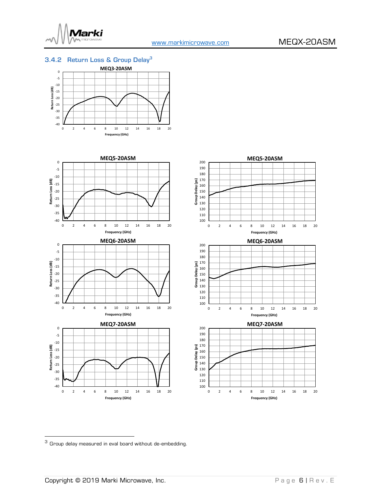

#### <span id="page-5-0"></span>3.4.2 Return Loss & Group Delay<sup>3</sup>









<sup>3</sup> Group delay measured in eval board without de-embedding.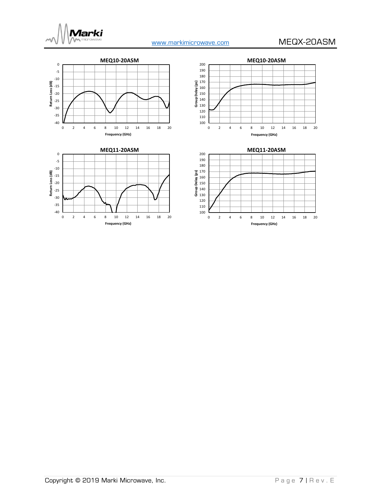







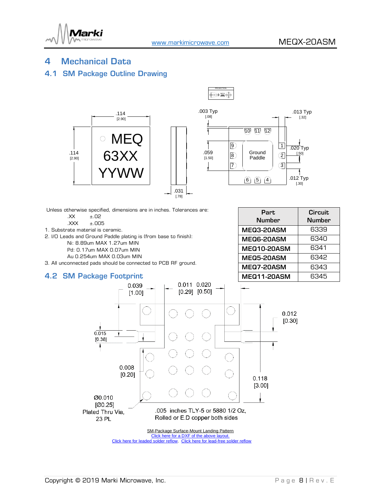

PROJECTION

## <span id="page-7-0"></span>4 Mechanical Data

### <span id="page-7-1"></span>4.1 SM Package Outline Drawing



Unless otherwise specified, dimensions are in inches. Tolerances are:

.XX ±.02

.XXX ±.005

1. Substrate material is ceramic.

2. I/O Leads and Ground Paddle plating is (from base to finish):

Ni: 8.89um MAX 1.27um MIN

Pd: 0.17um MAX 0.07um MIN

Au 0.254um MAX 0.03um MIN

3. All unconnected pads should be connected to PCB RF ground.

### <span id="page-7-2"></span>4.2 SM Package Footprint

| Part.<br><b>Number</b> | <b>Circuit</b><br><b>Number</b> |
|------------------------|---------------------------------|
| MEQ3-20ASM             | 6339                            |
| MEQ6-20ASM             | 6340                            |
| <b>MEQ10-20ASM</b>     | 6341                            |
| MEQ5-20ASM             | 6342                            |
| <b>MEQ7-20ASM</b>      | 6343                            |
| <b>MEQ11-20ASM</b>     | 6345                            |



[Click here for a DXF of the above layout.](https://www.markimicrowave.com/assets/data/landing_pattern_MEQ_SMT.zip) [Click here for leaded solder reflow.](http://www.markimicrowave.com/Assets/appnotes/reflow.pdf) Click here for lead-free solder reflow